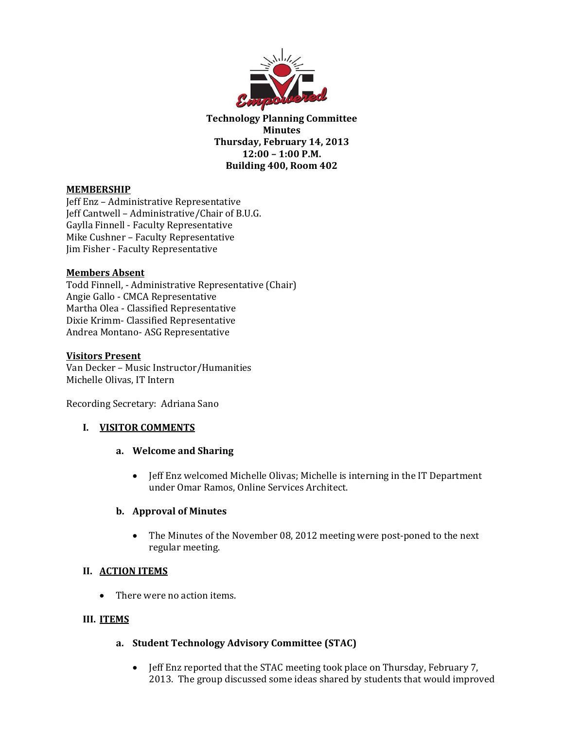

**Technology Planning Committee Minutes Thursday, February 14, 2013 12:00 – 1:00 P.M. Building 400, Room 402**

### **MEMBERSHIP**

Jeff Enz - Administrative Representative Jeff Cantwell - Administrative/Chair of B.U.G. Gaylla Finnell - Faculty Representative Mike Cushner - Faculty Representative Jim Fisher - Faculty Representative

#### **Members Absent**

Todd Finnell, - Administrative Representative (Chair) Angie Gallo - CMCA Representative Martha Olea - Classified Representative Dixie Krimm- Classified Representative Andrea Montano- ASG Representative

#### **Visitors Present**

Van Decker - Music Instructor/Humanities Michelle Olivas, IT Intern

Recording Secretary: Adriana Sano

## **I. VISITOR COMMENTS**

#### **a. Welcome and Sharing**

• Jeff Enz welcomed Michelle Olivas; Michelle is interning in the IT Department under Omar Ramos, Online Services Architect.

#### **b. Approval of Minutes**

• The Minutes of the November 08, 2012 meeting were post-poned to the next regular meeting.

## **II. ACTION ITEMS**

• There were no action items.

#### **III. ITEMS**

## **a. Student Technology Advisory Committee (STAC)**

• Jeff Enz reported that the STAC meeting took place on Thursday, February 7, 2013. The group discussed some ideas shared by students that would improved